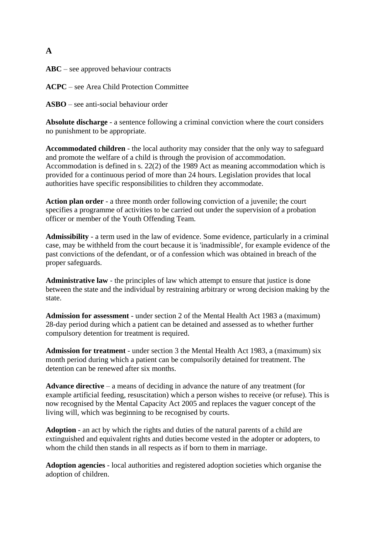### **A**

**ABC** – see approved behaviour contracts

**ACPC** – see Area Child Protection Committee

**ASBO** – see anti-social behaviour order

**Absolute discharge** - a sentence following a criminal conviction where the court considers no punishment to be appropriate.

**Accommodated children** - the local authority may consider that the only way to safeguard and promote the welfare of a child is through the provision of accommodation. Accommodation is defined in s. 22(2) of the 1989 Act as meaning accommodation which is provided for a continuous period of more than 24 hours. Legislation provides that local authorities have specific responsibilities to children they accommodate.

**Action plan order** - a three month order following conviction of a juvenile; the court specifies a programme of activities to be carried out under the supervision of a probation officer or member of the Youth Offending Team.

**Admissibility** - a term used in the law of evidence. Some evidence, particularly in a criminal case, may be withheld from the court because it is 'inadmissible', for example evidence of the past convictions of the defendant, or of a confession which was obtained in breach of the proper safeguards.

**Administrative law** - the principles of law which attempt to ensure that justice is done between the state and the individual by restraining arbitrary or wrong decision making by the state.

**Admission for assessment** - under section 2 of the Mental Health Act 1983 a (maximum) 28-day period during which a patient can be detained and assessed as to whether further compulsory detention for treatment is required.

**Admission for treatment** - under section 3 the Mental Health Act 1983, a (maximum) six month period during which a patient can be compulsorily detained for treatment. The detention can be renewed after six months.

**Advance directive** – a means of deciding in advance the nature of any treatment (for example artificial feeding, resuscitation) which a person wishes to receive (or refuse). This is now recognised by the Mental Capacity Act 2005 and replaces the vaguer concept of the living will, which was beginning to be recognised by courts.

**Adoption** - an act by which the rights and duties of the natural parents of a child are extinguished and equivalent rights and duties become vested in the adopter or adopters, to whom the child then stands in all respects as if born to them in marriage.

**Adoption agencies** - local authorities and registered adoption societies which organise the adoption of children.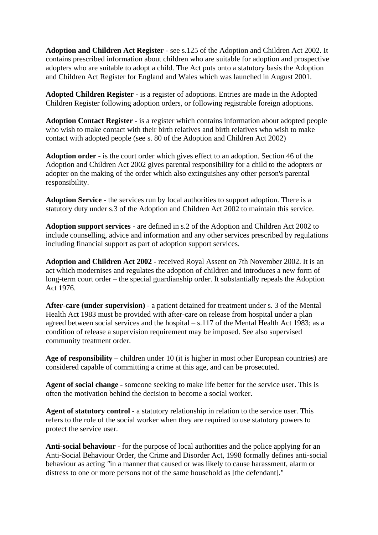**Adoption and Children Act Register** - see s.125 of the Adoption and Children Act 2002. It contains prescribed information about children who are suitable for adoption and prospective adopters who are suitable to adopt a child. The Act puts onto a statutory basis the Adoption and Children Act Register for England and Wales which was launched in August 2001.

**Adopted Children Register** - is a register of adoptions. Entries are made in the Adopted Children Register following adoption orders, or following registrable foreign adoptions.

**Adoption Contact Register** - is a register which contains information about adopted people who wish to make contact with their birth relatives and birth relatives who wish to make contact with adopted people (see s. 80 of the Adoption and Children Act 2002)

**Adoption order** - is the court order which gives effect to an adoption. Section 46 of the Adoption and Children Act 2002 gives parental responsibility for a child to the adopters or adopter on the making of the order which also extinguishes any other person's parental responsibility.

**Adoption Service** - the services run by local authorities to support adoption. There is a statutory duty under s.3 of the Adoption and Children Act 2002 to maintain this service.

**Adoption support services** - are defined in s.2 of the Adoption and Children Act 2002 to include counselling, advice and information and any other services prescribed by regulations including financial support as part of adoption support services.

**Adoption and Children Act 2002** - received Royal Assent on 7th November 2002. It is an act which modernises and regulates the adoption of children and introduces a new form of long-term court order – the special guardianship order. It substantially repeals the Adoption Act 1976.

**After-care (under supervision)** - a patient detained for treatment under s. 3 of the Mental Health Act 1983 must be provided with after-care on release from hospital under a plan agreed between social services and the hospital – s.117 of the Mental Health Act 1983; as a condition of release a supervision requirement may be imposed. See also supervised community treatment order.

**Age of responsibility** – children under 10 (it is higher in most other European countries) are considered capable of committing a crime at this age, and can be prosecuted.

**Agent of social change** - someone seeking to make life better for the service user. This is often the motivation behind the decision to become a social worker.

**Agent of statutory control** - a statutory relationship in relation to the service user. This refers to the role of the social worker when they are required to use statutory powers to protect the service user.

**Anti-social behaviour** - for the purpose of local authorities and the police applying for an Anti-Social Behaviour Order, the Crime and Disorder Act, 1998 formally defines anti-social behaviour as acting *"*in a manner that caused or was likely to cause harassment, alarm or distress to one or more persons not of the same household as [the defendant]."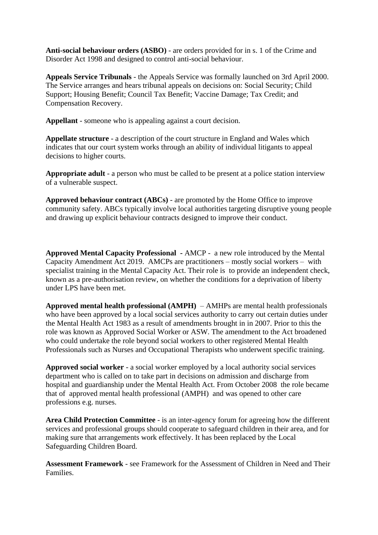**Anti-social behaviour orders (ASBO)** - are orders provided for in s. 1 of the Crime and Disorder Act 1998 and designed to control anti-social behaviour.

**Appeals Service Tribunals** - the Appeals Service was formally launched on 3rd April 2000. The Service arranges and hears tribunal appeals on decisions on: Social Security; Child Support; Housing Benefit; Council Tax Benefit; Vaccine Damage; Tax Credit; and Compensation Recovery.

**Appellant** - someone who is appealing against a court decision.

**Appellate structure** - a description of the court structure in England and Wales which indicates that our court system works through an ability of individual litigants to appeal decisions to higher courts.

**Appropriate adult** - a person who must be called to be present at a police station interview of a vulnerable suspect.

**Approved behaviour contract (ABCs)** - are promoted by the Home Office to improve community safety. ABCs typically involve local authorities targeting disruptive young people and drawing up explicit behaviour contracts designed to improve their conduct.

**Approved Mental Capacity Professional -** AMCP - a new role introduced by the Mental Capacity Amendment Act 2019.AMCPs are practitioners – mostly social workers – with specialist training in the Mental Capacity Act. Their role is to provide an independent check, known as a pre-authorisation review, on whether the conditions for a deprivation of liberty under LPS have been met.

**Approved mental health professional (AMPH)** – AMHPs are mental health professionals who have been approved by a local social services authority to carry out certain duties under the Mental Health Act 1983 as a result of amendments brought in in 2007. Prior to this the role was known as Approved Social Worker or ASW. The amendment to the Act broadened who could undertake the role beyond social workers to other registered Mental Health Professionals such as Nurses and Occupational Therapists who underwent specific training.

**Approved social worker** - a social worker employed by a local authority social services department who is called on to take part in decisions on admission and discharge from hospital and guardianship under the Mental Health Act. From October 2008 the role became that of approved mental health professional (AMPH) and was opened to other care professions e.g. nurses.

**Area Child Protection Committee** - is an inter-agency forum for agreeing how the different services and professional groups should cooperate to safeguard children in their area, and for making sure that arrangements work effectively. It has been replaced by the Local Safeguarding Children Board.

**Assessment Framework** - see Framework for the Assessment of Children in Need and Their Families.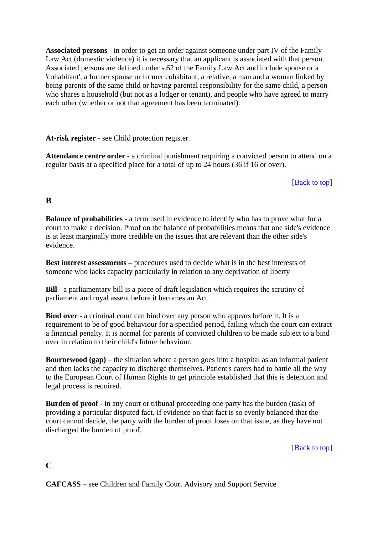**Associated persons** - in order to get an order against someone under part IV of the Family Law Act (domestic violence) it is necessary that an applicant is associated with that person. Associated persons are defined under s.62 of the Family Law Act and include spouse or a 'cohabitant', a former spouse or former cohabitant, a relative, a man and a woman linked by being parents of the same child or having parental responsibility for the same child, a person who shares a household (but not as a lodger or tenant), and people who have agreed to marry each other (whether or not that agreement has been terminated).

**At-risk register** - see Child protection register.

**Attendance centre order** - a criminal punishment requiring a convicted person to attend on a regular basis at a specified place for a total of up to 24 hours (36 if 16 or over).

[Back to top]

# **B**

**Balance of probabilities** - a term used in evidence to identify who has to prove what for a court to make a decision. Proof on the balance of probabilities means that one side's evidence is at least marginally more credible on the issues that are relevant than the other side's evidence.

**Best interest assessments –** procedures used to decide what is in the best interests of someone who lacks capacity particularly in relation to any deprivation of liberty

**Bill** - a parliamentary bill is a piece of draft legislation which requires the scrutiny of parliament and royal assent before it becomes an Act.

**Bind over** - a criminal court can bind over any person who appears before it. It is a requirement to be of good behaviour for a specified period, failing which the court can extract a financial penalty. It is normal for parents of convicted children to be made subject to a bind over in relation to their child's future behaviour.

**Bournewood (gap)** – the situation where a person goes into a hospital as an informal patient and then lacks the capacity to discharge themselves. Patient's carers had to battle all the way to the European Court of Human Rights to get principle established that this is detention and legal process is required.

**Burden of proof** - in any court or tribunal proceeding one party has the burden (task) of providing a particular disputed fact. If evidence on that fact is so evenly balanced that the court cannot decide, the party with the burden of proof loses on that issue, as they have not discharged the burden of proof.

[**Back** to top]

**C** 

**CAFCASS** – see Children and Family Court Advisory and Support Service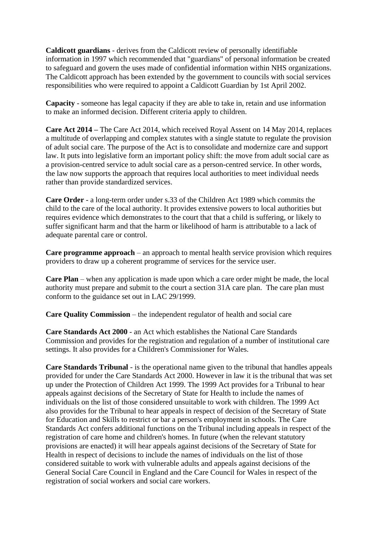**Caldicott guardians** - derives from the Caldicott review of personally identifiable information in 1997 which recommended that "guardians" of personal information be created to safeguard and govern the uses made of confidential information within NHS organizations. The Caldicott approach has been extended by the government to councils with social services responsibilities who were required to appoint a Caldicott Guardian by 1st April 2002.

**Capacity** - someone has legal capacity if they are able to take in, retain and use information to make an informed decision. Different criteria apply to children.

**Care Act 2014 –** The Care Act 2014, which received Royal Assent on 14 May 2014, replaces a multitude of overlapping and complex statutes with a single statute to regulate the provision of adult social care. The purpose of the Act is to consolidate and modernize care and support law. It puts into legislative form an important policy shift: the move from adult social care as a provision-centred service to adult social care as a person-centred service. In other words, the law now supports the approach that requires local authorities to meet individual needs rather than provide standardized services.

**Care Order** - a long-term order under s.33 of the Children Act 1989 which commits the child to the care of the local authority. It provides extensive powers to local authorities but requires evidence which demonstrates to the court that that a child is suffering, or likely to suffer significant harm and that the harm or likelihood of harm is attributable to a lack of adequate parental care or control.

**Care programme approach** – an approach to mental health service provision which requires providers to draw up a coherent programme of services for the service user.

**Care Plan** – when any application is made upon which a care order might be made, the local authority must prepare and submit to the court a section 31A care plan. The care plan must conform to the guidance set out in LAC 29/1999.

**Care Quality Commission** – the independent regulator of health and social care

**Care Standards Act 2000** - an Act which establishes the National Care Standards Commission and provides for the registration and regulation of a number of institutional care settings. It also provides for a Children's Commissioner for Wales.

**Care Standards Tribunal** - is the operational name given to the tribunal that handles appeals provided for under the Care Standards Act 2000. However in law it is the tribunal that was set up under the Protection of Children Act 1999. The 1999 Act provides for a Tribunal to hear appeals against decisions of the Secretary of State for Health to include the names of individuals on the list of those considered unsuitable to work with children. The 1999 Act also provides for the Tribunal to hear appeals in respect of decision of the Secretary of State for Education and Skills to restrict or bar a person's employment in schools. The Care Standards Act confers additional functions on the Tribunal including appeals in respect of the registration of care home and children's homes. In future (when the relevant statutory provisions are enacted) it will hear appeals against decisions of the Secretary of State for Health in respect of decisions to include the names of individuals on the list of those considered suitable to work with vulnerable adults and appeals against decisions of the General Social Care Council in England and the Care Council for Wales in respect of the registration of social workers and social care workers.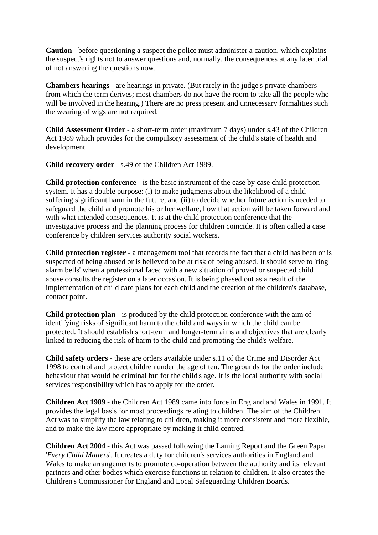**Caution** - before questioning a suspect the police must administer a caution, which explains the suspect's rights not to answer questions and, normally, the consequences at any later trial of not answering the questions now.

**Chambers hearings** - are hearings in private. (But rarely in the judge's private chambers from which the term derives; most chambers do not have the room to take all the people who will be involved in the hearing.) There are no press present and unnecessary formalities such the wearing of wigs are not required.

**Child Assessment Order** - a short-term order (maximum 7 days) under s.43 of the Children Act 1989 which provides for the compulsory assessment of the child's state of health and development.

**Child recovery order** - s.49 of the Children Act 1989.

**Child protection conference** - is the basic instrument of the case by case child protection system. It has a double purpose: (i) to make judgments about the likelihood of a child suffering significant harm in the future; and (ii) to decide whether future action is needed to safeguard the child and promote his or her welfare, how that action will be taken forward and with what intended consequences. It is at the child protection conference that the investigative process and the planning process for children coincide. It is often called a case conference by children services authority social workers.

**Child protection register** - a management tool that records the fact that a child has been or is suspected of being abused or is believed to be at risk of being abused. It should serve to 'ring alarm bells' when a professional faced with a new situation of proved or suspected child abuse consults the register on a later occasion. It is being phased out as a result of the implementation of child care plans for each child and the creation of the children's database, contact point.

**Child protection plan** - is produced by the child protection conference with the aim of identifying risks of significant harm to the child and ways in which the child can be protected. It should establish short-term and longer-term aims and objectives that are clearly linked to reducing the risk of harm to the child and promoting the child's welfare.

**Child safety orders** - these are orders available under s.11 of the Crime and Disorder Act 1998 to control and protect children under the age of ten. The grounds for the order include behaviour that would be criminal but for the child's age. It is the local authority with social services responsibility which has to apply for the order.

**Children Act 1989** - the Children Act 1989 came into force in England and Wales in 1991. It provides the legal basis for most proceedings relating to children. The aim of the Children Act was to simplify the law relating to children, making it more consistent and more flexible, and to make the law more appropriate by making it child centred.

**Children Act 2004** - this Act was passed following the Laming Report and the Green Paper '*Every Child Matters*'. It creates a duty for children's services authorities in England and Wales to make arrangements to promote co-operation between the authority and its relevant partners and other bodies which exercise functions in relation to children. It also creates the Children's Commissioner for England and Local Safeguarding Children Boards.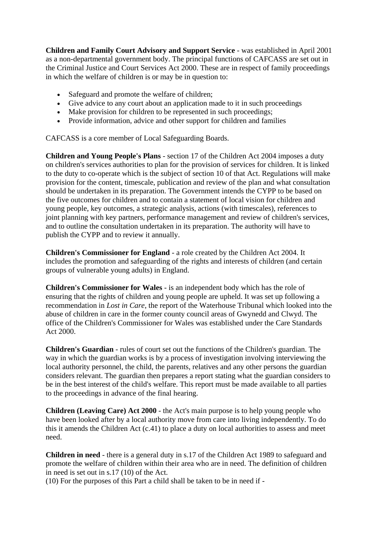**Children and Family Court Advisory and Support Service** - was established in April 2001 as a non-departmental government body. The principal functions of CAFCASS are set out in the Criminal Justice and Court Services Act 2000. These are in respect of family proceedings in which the welfare of children is or may be in question to:

- Safeguard and promote the welfare of children:
- Give advice to any court about an application made to it in such proceedings
- Make provision for children to be represented in such proceedings;
- Provide information, advice and other support for children and families

CAFCASS is a core member of Local Safeguarding Boards.

**Children and Young People's Plans** - section 17 of the Children Act 2004 imposes a duty on children's services authorities to plan for the provision of services for children. It is linked to the duty to co-operate which is the subject of section 10 of that Act. Regulations will make provision for the content, timescale, publication and review of the plan and what consultation should be undertaken in its preparation. The Government intends the CYPP to be based on the five outcomes for children and to contain a statement of local vision for children and young people, key outcomes, a strategic analysis, actions (with timescales), references to joint planning with key partners, performance management and review of children's services, and to outline the consultation undertaken in its preparation. The authority will have to publish the CYPP and to review it annually.

**Children's Commissioner for England** - a role created by the Children Act 2004. It includes the promotion and safeguarding of the rights and interests of children (and certain groups of vulnerable young adults) in England.

**Children's Commissioner for Wales** - is an independent body which has the role of ensuring that the rights of children and young people are upheld. It was set up following a recommendation in *Lost in Care*, the report of the Waterhouse Tribunal which looked into the abuse of children in care in the former county council areas of Gwynedd and Clwyd. The office of the Children's Commissioner for Wales was established under the Care Standards Act 2000.

**Children's Guardian** - rules of court set out the functions of the Children's guardian. The way in which the guardian works is by a process of investigation involving interviewing the local authority personnel, the child, the parents, relatives and any other persons the guardian considers relevant. The guardian then prepares a report stating what the guardian considers to be in the best interest of the child's welfare. This report must be made available to all parties to the proceedings in advance of the final hearing.

**Children (Leaving Care) Act 2000** - the Act's main purpose is to help young people who have been looked after by a local authority move from care into living independently. To do this it amends the Children Act (c.41) to place a duty on local authorities to assess and meet need.

**Children in need** - there is a general duty in s.17 of the Children Act 1989 to safeguard and promote the welfare of children within their area who are in need. The definition of children in need is set out in s.17 (10) of the Act.

(10) For the purposes of this Part a child shall be taken to be in need if -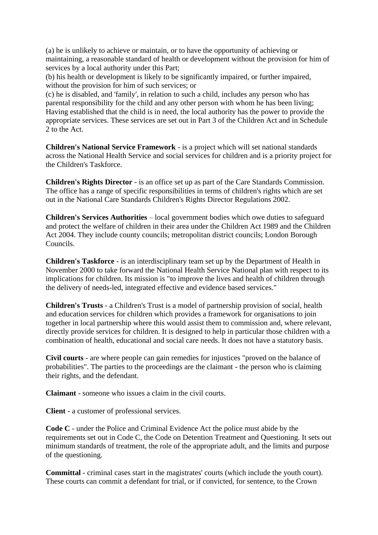(a) he is unlikely to achieve or maintain, or to have the opportunity of achieving or maintaining, a reasonable standard of health or development without the provision for him of services by a local authority under this Part;

(b) his health or development is likely to be significantly impaired, or further impaired, without the provision for him of such services; or

(c) he is disabled, and 'family', in relation to such a child, includes any person who has parental responsibility for the child and any other person with whom he has been living; Having established that the child is in need, the local authority has the power to provide the appropriate services. These services are set out in Part 3 of the Children Act and in Schedule 2 to the Act.

**Children's National Service Framework** - is a project which will set national standards across the National Health Service and social services for children and is a priority project for the Children's Taskforce.

**Children's Rights Director** - is an office set up as part of the Care Standards Commission. The office has a range of specific responsibilities in terms of children's rights which are set out in the National Care Standards Children's Rights Director Regulations 2002.

**Children's Services Authorities** – local government bodies which owe duties to safeguard and protect the welfare of children in their area under the Children Act 1989 and the Children Act 2004. They include county councils; metropolitan district councils; London Borough Councils.

**Children's Taskforce** - is an interdisciplinary team set up by the Department of Health in November 2000 to take forward the National Health Service National plan with respect to its implications for children. Its mission is "to improve the lives and health of children through the delivery of needs-led, integrated effective and evidence based services."

**Children's Trusts** - a Children's Trust is a model of partnership provision of social, health and education services for children which provides a framework for organisations to join together in local partnership where this would assist them to commission and, where relevant, directly provide services for children. It is designed to help in particular those children with a combination of health, educational and social care needs. It does not have a statutory basis.

**Civil courts** - are where people can gain remedies for injustices "proved on the balance of probabilities". The parties to the proceedings are the claimant - the person who is claiming their rights, and the defendant.

**Claimant** - someone who issues a claim in the civil courts.

**Client** - a customer of professional services.

**Code C** - under the Police and Criminal Evidence Act the police must abide by the requirements set out in Code C, the Code on Detention Treatment and Questioning. It sets out minimum standards of treatment, the role of the appropriate adult, and the limits and purpose of the questioning.

**Committal** - criminal cases start in the magistrates' courts (which include the youth court). These courts can commit a defendant for trial, or if convicted, for sentence, to the Crown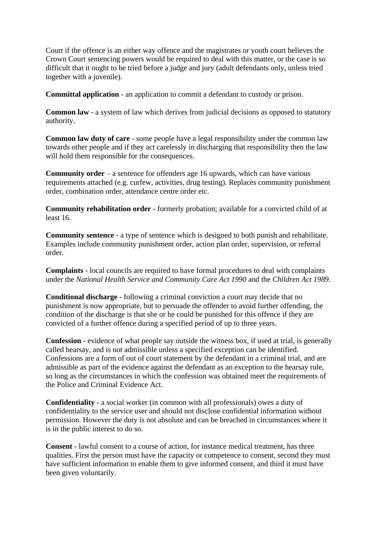Court if the offence is an either way offence and the magistrates or youth court believes the Crown Court sentencing powers would be required to deal with this matter, or the case is so difficult that it ought to be tried before a judge and jury (adult defendants only, unless tried together with a juvenile).

**Committal application** - an application to commit a defendant to custody or prison.

**Common law** - a system of law which derives from judicial decisions as opposed to statutory authority.

**Common law duty of care** - some people have a legal responsibility under the common law towards other people and if they act carelessly in discharging that responsibility then the law will hold them responsible for the consequences.

**Community order** – a sentence for offenders age 16 upwards, which can have various requirements attached (e.g. curfew, activities, drug testing). Replaces community punishment order, combination order, attendance centre order etc.

**Community rehabilitation order** - formerly probation; available for a convicted child of at least 16.

**Community sentence** - a type of sentence which is designed to both punish and rehabilitate. Examples include community punishment order, action plan order, supervision, or referral order.

**Complaints** - local councils are required to have formal procedures to deal with complaints under the *National Health Service and Community Care Act 1990* and the *Children Act 1989*.

**Conditional discharge** - following a criminal conviction a court may decide that no punishment is now appropriate, but to persuade the offender to avoid further offending, the condition of the discharge is that she or he could be punished for this offence if they are convicted of a further offence during a specified period of up to three years.

**Confession** - evidence of what people say outside the witness box, if used at trial, is generally called hearsay, and is not admissible unless a specified exception can be identified. Confessions are a form of out of court statement by the defendant in a criminal trial, and are admissible as part of the evidence against the defendant as an exception to the hearsay rule, so long as the circumstances in which the confession was obtained meet the requirements of the Police and Criminal Evidence Act.

**Confidentiality** - a social worker (in common with all professionals) owes a duty of confidentiality to the service user and should not disclose confidential information without permission. However the duty is not absolute and can be breached in circumstances where it is in the public interest to do so.

**Consent** - lawful consent to a course of action, for instance medical treatment, has three qualities. First the person must have the capacity or competence to consent, second they must have sufficient information to enable them to give informed consent, and third it must have been given voluntarily.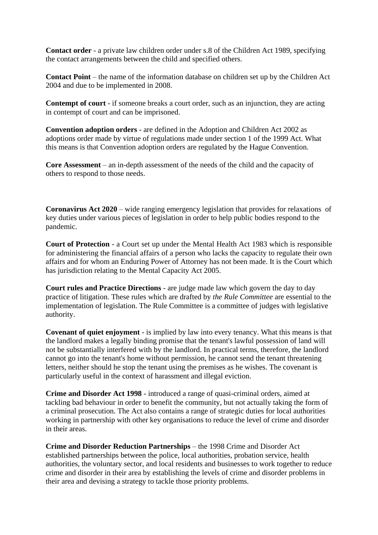**Contact order** - a private law children order under s.8 of the Children Act 1989, specifying the contact arrangements between the child and specified others.

**Contact Point** – the name of the information database on children set up by the Children Act 2004 and due to be implemented in 2008.

**Contempt of court** - if someone breaks a court order, such as an injunction, they are acting in contempt of court and can be imprisoned.

**Convention adoption orders** - are defined in the Adoption and Children Act 2002 as adoptions order made by virtue of regulations made under section 1 of the 1999 Act. What this means is that Convention adoption orders are regulated by the Hague Convention.

**Core Assessment** – an in-depth assessment of the needs of the child and the capacity of others to respond to those needs.

**Coronavirus Act 2020** – wide ranging emergency legislation that provides for relaxations of key duties under various pieces of legislation in order to help public bodies respond to the pandemic.

**Court of Protection** - a Court set up under the Mental Health Act 1983 which is responsible for administering the financial affairs of a person who lacks the capacity to regulate their own affairs and for whom an Enduring Power of Attorney has not been made. It is the Court which has jurisdiction relating to the Mental Capacity Act 2005.

**Court rules and Practice Directions** - are judge made law which govern the day to day practice of litigation. These rules which are drafted by *the Rule Committee* are essential to the implementation of legislation. The Rule Committee is a committee of judges with legislative authority.

**Covenant of quiet enjoyment** - is implied by law into every tenancy. What this means is that the landlord makes a legally binding promise that the tenant's lawful possession of land will not be substantially interfered with by the landlord. In practical terms, therefore, the landlord cannot go into the tenant's home without permission, he cannot send the tenant threatening letters, neither should he stop the tenant using the premises as he wishes. The covenant is particularly useful in the context of harassment and illegal eviction.

**Crime and Disorder Act 1998** - introduced a range of quasi-criminal orders, aimed at tackling bad behaviour in order to benefit the community, but not actually taking the form of a criminal prosecution. The Act also contains a range of strategic duties for local authorities working in partnership with other key organisations to reduce the level of crime and disorder in their areas.

**Crime and Disorder Reduction Partnerships** – the 1998 Crime and Disorder Act established partnerships between the police, local authorities, probation service, health authorities, the voluntary sector, and local residents and businesses to work together to reduce crime and disorder in their area by establishing the levels of crime and disorder problems in their area and devising a strategy to tackle those priority problems.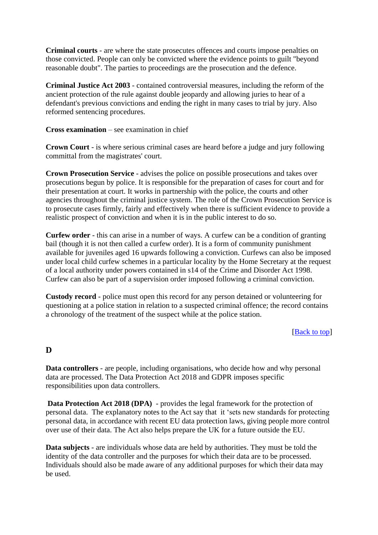**Criminal courts** - are where the state prosecutes offences and courts impose penalties on those convicted. People can only be convicted where the evidence points to guilt "beyond reasonable doubt". The parties to proceedings are the prosecution and the defence.

**Criminal Justice Act 2003** - contained controversial measures, including the reform of the ancient protection of the rule against double jeopardy and allowing juries to hear of a defendant's previous convictions and ending the right in many cases to trial by jury. Also reformed sentencing procedures.

**Cross examination** – see examination in chief

**Crown Court** - is where serious criminal cases are heard before a judge and jury following committal from the magistrates' court.

**Crown Prosecution Service** - advises the police on possible prosecutions and takes over prosecutions begun by police. It is responsible for the preparation of cases for court and for their presentation at court. It works in partnership with the police, the courts and other agencies throughout the criminal justice system. The role of the Crown Prosecution Service is to prosecute cases firmly, fairly and effectively when there is sufficient evidence to provide a realistic prospect of conviction and when it is in the public interest to do so.

**Curfew order** - this can arise in a number of ways. A curfew can be a condition of granting bail (though it is not then called a curfew order). It is a form of community punishment available for juveniles aged 16 upwards following a conviction. Curfews can also be imposed under local child curfew schemes in a particular locality by the Home Secretary at the request of a local authority under powers contained in s14 of the Crime and Disorder Act 1998. Curfew can also be part of a supervision order imposed following a criminal conviction.

**Custody record** - police must open this record for any person detained or volunteering for questioning at a police station in relation to a suspected criminal offence; the record contains a chronology of the treatment of the suspect while at the police station.

### [Back to top]

# **D**

**Data controllers** - are people, including organisations, who decide how and why personal data are processed. The Data Protection Act 2018 and GDPR imposes specific responsibilities upon data controllers.

**Data Protection Act 2018 (DPA)** - provides the legal framework for the protection of personal data. The explanatory notes to the Act say that it 'sets new standards for protecting personal data, in accordance with recent EU data protection laws, giving people more control over use of their data. The Act also helps prepare the UK for a future outside the EU.

**Data subjects** - are individuals whose data are held by authorities. They must be told the identity of the data controller and the purposes for which their data are to be processed. Individuals should also be made aware of any additional purposes for which their data may be used.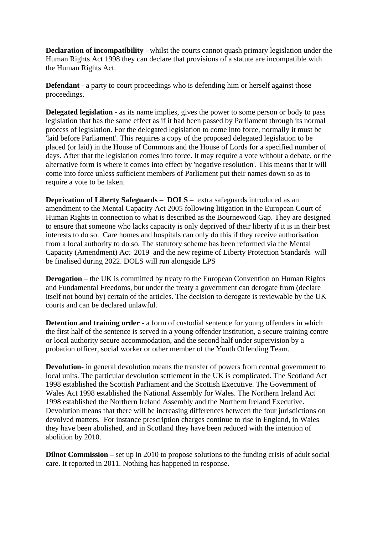**Declaration of incompatibility** - whilst the courts cannot quash primary legislation under the Human Rights Act 1998 they can declare that provisions of a statute are incompatible with the Human Rights Act.

**Defendant** - a party to court proceedings who is defending him or herself against those proceedings.

**Delegated legislation** - as its name implies, gives the power to some person or body to pass legislation that has the same effect as if it had been passed by Parliament through its normal process of legislation. For the delegated legislation to come into force, normally it must be 'laid before Parliament'. This requires a copy of the proposed delegated legislation to be placed (or laid) in the House of Commons and the House of Lords for a specified number of days. After that the legislation comes into force. It may require a vote without a debate, or the alternative form is where it comes into effect by 'negative resolution'. This means that it will come into force unless sufficient members of Parliament put their names down so as to require a vote to be taken.

**Deprivation of Liberty Safeguards – DOLS –** extra safeguards introduced as an amendment to the Mental Capacity Act 2005 following litigation in the European Court of Human Rights in connection to what is described as the Bournewood Gap. They are designed to ensure that someone who lacks capacity is only deprived of their liberty if it is in their best interests to do so. Care homes and hospitals can only do this if they receive authorisation from a local authority to do so. The statutory scheme has been reformed via the Mental Capacity (Amendment) Act 2019 and the new regime of Liberty Protection Standards will be finalised during 2022. DOLS will run alongside LPS

**Derogation** – the UK is committed by treaty to the European Convention on Human Rights and Fundamental Freedoms, but under the treaty a government can derogate from (declare itself not bound by) certain of the articles. The decision to derogate is reviewable by the UK courts and can be declared unlawful.

**Detention and training order** - a form of custodial sentence for young offenders in which the first half of the sentence is served in a young offender institution, a secure training centre or local authority secure accommodation, and the second half under supervision by a probation officer, social worker or other member of the Youth Offending Team.

**Devolution**- in general devolution means the transfer of powers from central government to local units. The particular devolution settlement in the UK is complicated. The Scotland Act 1998 established the Scottish Parliament and the Scottish Executive. The Government of Wales Act 1998 established the National Assembly for Wales. The Northern Ireland Act 1998 established the Northern Ireland Assembly and the Northern Ireland Executive. Devolution means that there will be increasing differences between the four jurisdictions on devolved matters. For instance prescription charges continue to rise in England, in Wales they have been abolished, and in Scotland they have been reduced with the intention of abolition by 2010.

**Dilnot Commission** – set up in 2010 to propose solutions to the funding crisis of adult social care. It reported in 2011. Nothing has happened in response.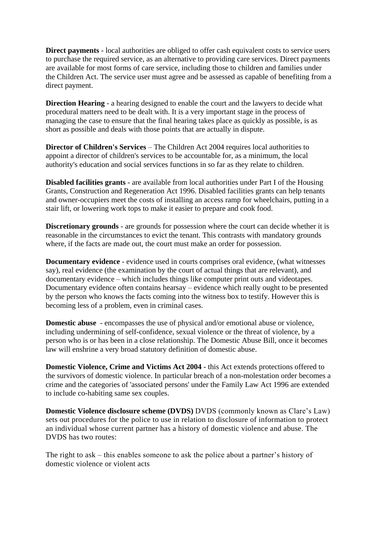**Direct payments** - local authorities are obliged to offer cash equivalent costs to service users to purchase the required service, as an alternative to providing care services. Direct payments are available for most forms of care service, including those to children and families under the Children Act. The service user must agree and be assessed as capable of benefiting from a direct payment.

**Direction Hearing** - a hearing designed to enable the court and the lawyers to decide what procedural matters need to be dealt with. It is a very important stage in the process of managing the case to ensure that the final hearing takes place as quickly as possible, is as short as possible and deals with those points that are actually in dispute.

**Director of Children's Services** – The Children Act 2004 requires local authorities to appoint a director of children's services to be accountable for, as a minimum, the local authority's education and social services functions in so far as they relate to children.

**Disabled facilities grants** - are available from local authorities under Part I of the Housing Grants, Construction and Regeneration Act 1996. Disabled facilities grants can help tenants and owner-occupiers meet the costs of installing an access ramp for wheelchairs, putting in a stair lift, or lowering work tops to make it easier to prepare and cook food.

**Discretionary grounds** - are grounds for possession where the court can decide whether it is reasonable in the circumstances to evict the tenant. This contrasts with mandatory grounds where, if the facts are made out, the court must make an order for possession.

**Documentary evidence** - evidence used in courts comprises oral evidence, (what witnesses say), real evidence (the examination by the court of actual things that are relevant), and documentary evidence – which includes things like computer print outs and videotapes. Documentary evidence often contains hearsay – evidence which really ought to be presented by the person who knows the facts coming into the witness box to testify. However this is becoming less of a problem, even in criminal cases.

**Domestic abuse** - encompasses the use of physical and/or emotional abuse or violence, including undermining of self-confidence, sexual violence or the threat of violence, by a person who is or has been in a close relationship. The Domestic Abuse Bill, once it becomes law will enshrine a very broad statutory definition of domestic abuse.

**Domestic Violence, Crime and Victims Act 2004** - this Act extends protections offered to the survivors of domestic violence. In particular breach of a non-molestation order becomes a crime and the categories of 'associated persons' under the Family Law Act 1996 are extended to include co-habiting same sex couples.

**Domestic Violence disclosure scheme (DVDS)** DVDS (commonly known as Clare's Law) sets out procedures for the police to use in relation to disclosure of information to protect an individual whose current partner has a history of domestic violence and abuse. The DVDS has two routes:

The right to ask – this enables someone to ask the police about a partner's history of domestic violence or violent acts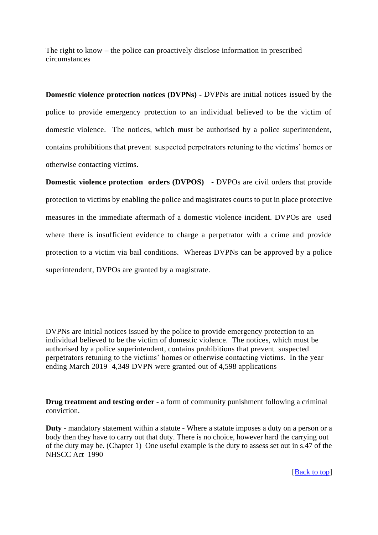The right to know – the police can proactively disclose information in prescribed circumstances

**Domestic violence protection notices (DVPNs) -** DVPNs are initial notices issued by the police to provide emergency protection to an individual believed to be the victim of domestic violence. The notices, which must be authorised by a police superintendent, contains prohibitions that prevent suspected perpetrators retuning to the victims' homes or otherwise contacting victims.

**Domestic violence protection orders (DVPOS)** - DVPOs are civil orders that provide protection to victims by enabling the police and magistrates courts to put in place protective measures in the immediate aftermath of a domestic violence incident. DVPOs are used where there is insufficient evidence to charge a perpetrator with a crime and provide protection to a victim via bail conditions. Whereas DVPNs can be approved by a police superintendent, DVPOs are granted by a magistrate.

DVPNs are initial notices issued by the police to provide emergency protection to an individual believed to be the victim of domestic violence. The notices, which must be authorised by a police superintendent, contains prohibitions that prevent suspected perpetrators retuning to the victims' homes or otherwise contacting victims. In the year ending March 2019 4,349 DVPN were granted out of 4,598 applications

**Drug treatment and testing order** - a form of community punishment following a criminal conviction.

**Duty** - mandatory statement within a statute - Where a statute imposes a duty on a person or a body then they have to carry out that duty. There is no choice, however hard the carrying out of the duty may be. (Chapter 1) One useful example is the duty to assess set out in s.47 of the NHSCC Act 1990

[Back to top]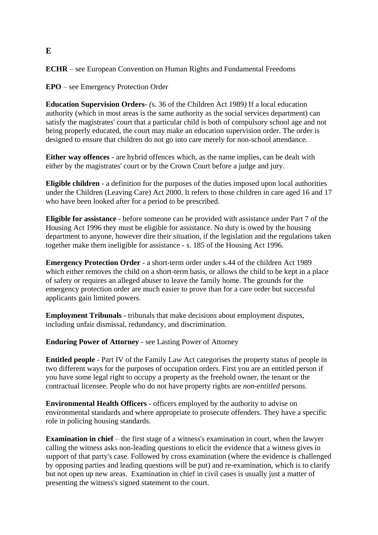### **ECHR** – see European Convention on Human Rights and Fundamental Freedoms

**EPO** – see Emergency Protection Order

**Education Supervision Orders***- (*s. 36 of the Children Act 1989*)* If a local education authority (which in most areas is the same authority as the social services department) can satisfy the magistrates' court that a particular child is both of compulsory school age and not being properly educated, the court may make an education supervision order. The order is designed to ensure that children do not go into care merely for non-school attendance.

**Either way offences** - are hybrid offences which, as the name implies, can be dealt with either by the magistrates' court or by the Crown Court before a judge and jury.

**Eligible children** - a definition for the purposes of the duties imposed upon local authorities under the Children (Leaving Care) Act 2000. It refers to those children in care aged 16 and 17 who have been looked after for a period to be prescribed.

**Eligible for assistance** - before someone can be provided with assistance under Part 7 of the Housing Act 1996 they must be eligible for assistance. No duty is owed by the housing department to anyone, however dire their situation, if the legislation and the regulations taken together make them ineligible for assistance - s. 185 of the Housing Act 1996.

**Emergency Protection Order** - a short-term order under s.44 of the children Act 1989 which either removes the child on a short-term basis, or allows the child to be kept in a place of safety or requires an alleged abuser to leave the family home. The grounds for the emergency protection order are much easier to prove than for a care order but successful applicants gain limited powers.

**Employment Tribunals** - tribunals that make decisions about employment disputes, including unfair dismissal, redundancy, and discrimination.

**Enduring Power of Attorney** - see Lasting Power of Attorney

**Entitled people** - Part IV of the Family Law Act categorises the property status of people in two different ways for the purposes of occupation orders. First you are an entitled person if you have some legal right to occupy a property as the freehold owner, the tenant or the contractual licensee. People who do not have property rights are *non-entitled* persons.

**Environmental Health Officers** - officers employed by the authority to advise on environmental standards and where appropriate to prosecute offenders. They have a specific role in policing housing standards.

**Examination in chief** – the first stage of a witness's examination in court, when the lawyer calling the witness asks non-leading questions to elicit the evidence that a witness gives in support of that party's case. Followed by cross examination (where the evidence is challenged by opposing parties and leading questions will be put) and re-examination, which is to clarify but not open up new areas. Examination in chief in civil cases is usually just a matter of presenting the witness's signed statement to the court.

#### **E**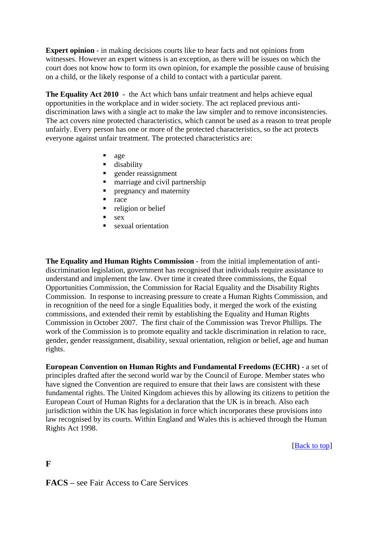**Expert opinion** - in making decisions courts like to hear facts and not opinions from witnesses. However an expert witness is an exception, as there will be issues on which the court does not know how to form its own opinion, for example the possible cause of bruising on a child, or the likely response of a child to contact with a particular parent.

**The Equality Act 2010 -** the Act which bans unfair treatment and helps achieve equal opportunities in the workplace and in wider society. The act replaced previous antidiscrimination laws with a single act to make the law simpler and to remove inconsistencies. The act covers nine protected characteristics, which cannot be used as a reason to treat people unfairly. Every person has one or more of the protected characteristics, so the act protects everyone against unfair treatment. The protected characteristics are:

- age
- disability
- gender reassignment
- marriage and civil partnership
- pregnancy and maternity
- race
- religion or belief
- sex
- sexual orientation

**The Equality and Human Rights Commission** - from the initial implementation of antidiscrimination legislation, government has recognised that individuals require assistance to understand and implement the law. Over time it created three commissions, the Equal Opportunities Commission, the Commission for Racial Equality and the Disability Rights Commission. In response to increasing pressure to create a Human Rights Commission, and in recognition of the need for a single Equalities body, it merged the work of the existing commissions, and extended their remit by establishing the Equality and Human Rights Commission in October 2007. The first chair of the Commission was Trevor Phillips. The work of the Commission is to promote equality and tackle discrimination in relation to race, gender, gender reassignment, disability, sexual orientation, religion or belief, age and human rights.

**European Convention on Human Rights and Fundamental Freedoms (ECHR)** - a set of principles drafted after the second world war by the Council of Europe. Member states who have signed the Convention are required to ensure that their laws are consistent with these fundamental rights. The United Kingdom achieves this by allowing its citizens to petition the European Court of Human Rights for a declaration that the UK is in breach. Also each jurisdiction within the UK has legislation in force which incorporates these provisions into law recognised by its courts. Within England and Wales this is achieved through the Human Rights Act 1998.

[Back to top]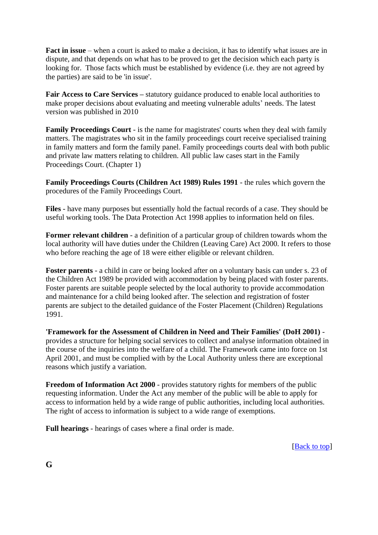**Fact in issue** – when a court is asked to make a decision, it has to identify what issues are in dispute, and that depends on what has to be proved to get the decision which each party is looking for. Those facts which must be established by evidence (i.e. they are not agreed by the parties) are said to be 'in issue'.

**Fair Access to Care Services –** statutory guidance produced to enable local authorities to make proper decisions about evaluating and meeting vulnerable adults' needs. The latest version was published in 2010

**Family Proceedings Court** - is the name for magistrates' courts when they deal with family matters. The magistrates who sit in the family proceedings court receive specialised training in family matters and form the family panel. Family proceedings courts deal with both public and private law matters relating to children. All public law cases start in the Family Proceedings Court. (Chapter 1)

**Family Proceedings Courts (Children Act 1989) Rules 1991** - the rules which govern the procedures of the Family Proceedings Court.

**Files** - have many purposes but essentially hold the factual records of a case. They should be useful working tools. The Data Protection Act 1998 applies to information held on files.

**Former relevant children** - a definition of a particular group of children towards whom the local authority will have duties under the Children (Leaving Care) Act 2000. It refers to those who before reaching the age of 18 were either eligible or relevant children.

**Foster parents** - a child in care or being looked after on a voluntary basis can under s. 23 of the Children Act 1989 be provided with accommodation by being placed with foster parents. Foster parents are suitable people selected by the local authority to provide accommodation and maintenance for a child being looked after. The selection and registration of foster parents are subject to the detailed guidance of the Foster Placement (Children) Regulations 1991.

**'Framework for the Assessment of Children in Need and Their Families' (DoH 2001)** provides a structure for helping social services to collect and analyse information obtained in the course of the inquiries into the welfare of a child. The Framework came into force on 1st April 2001, and must be complied with by the Local Authority unless there are exceptional reasons which justify a variation.

**Freedom of Information Act 2000** - provides statutory rights for members of the public requesting information. Under the Act any member of the public will be able to apply for access to information held by a wide range of public authorities, including local authorities. The right of access to information is subject to a wide range of exemptions.

**Full hearings** - hearings of cases where a final order is made.

[Back to top]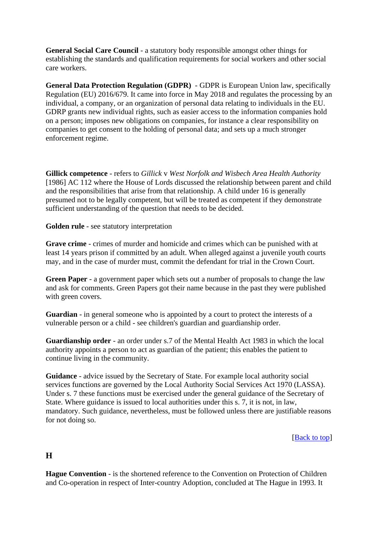**General Social Care Council** - a statutory body responsible amongst other things for establishing the standards and qualification requirements for social workers and other social care workers.

**General Data Protection Regulation (GDPR)** - GDPR is European Union law, specifically Regulation (EU) 2016/679. It came into force in May 2018 and regulates the processing by an individual, a company, or an organization of personal data relating to individuals in the EU. GDRP grants new individual rights, such as easier access to the information companies hold on a person; imposes new obligations on companies, for instance a clear responsibility on companies to get consent to the holding of personal data; and sets up a much stronger enforcement regime.

**Gillick competence** - refers to *Gillick* v *West Norfolk and Wisbech Area Health Authority* [1986] AC 112 where the House of Lords discussed the relationship between parent and child and the responsibilities that arise from that relationship. A child under 16 is generally presumed not to be legally competent, but will be treated as competent if they demonstrate sufficient understanding of the question that needs to be decided.

**Golden rule** - see statutory interpretation

**Grave crime** - crimes of murder and homicide and crimes which can be punished with at least 14 years prison if committed by an adult. When alleged against a juvenile youth courts may, and in the case of murder must, commit the defendant for trial in the Crown Court.

**Green Paper** - a government paper which sets out a number of proposals to change the law and ask for comments. Green Papers got their name because in the past they were published with green covers.

**Guardian** - in general someone who is appointed by a court to protect the interests of a vulnerable person or a child *-* see children's guardian and guardianship order.

**Guardianship order** - an order under s.7 of the Mental Health Act 1983 in which the local authority appoints a person to act as guardian of the patient; this enables the patient to continue living in the community.

**Guidance** - advice issued by the Secretary of State. For example local authority social services functions are governed by the Local Authority Social Services Act 1970 (LASSA). Under s. 7 these functions must be exercised under the general guidance of the Secretary of State. Where guidance is issued to local authorities under this s. 7, it is not, in law, mandatory. Such guidance, nevertheless, must be followed unless there are justifiable reasons for not doing so.

[Back to top]

**H** 

**Hague Convention** - is the shortened reference to the Convention on Protection of Children and Co-operation in respect of Inter-country Adoption, concluded at The Hague in 1993. It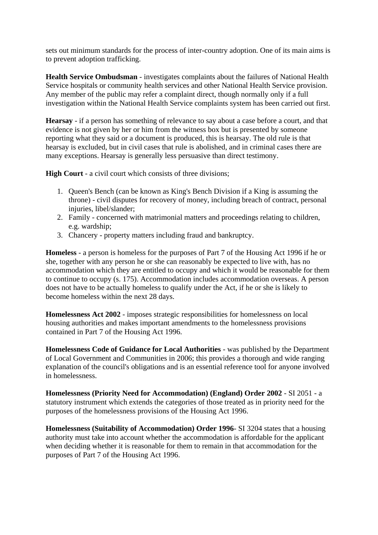sets out minimum standards for the process of inter-country adoption. One of its main aims is to prevent adoption trafficking.

**Health Service Ombudsman** - investigates complaints about the failures of National Health Service hospitals or community health services and other National Health Service provision. Any member of the public may refer a complaint direct, though normally only if a full investigation within the National Health Service complaints system has been carried out first.

**Hearsay** - if a person has something of relevance to say about a case before a court, and that evidence is not given by her or him from the witness box but is presented by someone reporting what they said or a document is produced, this is hearsay. The old rule is that hearsay is excluded, but in civil cases that rule is abolished, and in criminal cases there are many exceptions. Hearsay is generally less persuasive than direct testimony.

**High Court** - a civil court which consists of three divisions;

- 1. Queen's Bench (can be known as King's Bench Division if a King is assuming the throne) - civil disputes for recovery of money, including breach of contract, personal injuries, libel/slander;
- 2. Family concerned with matrimonial matters and proceedings relating to children, e.g. wardship;
- 3. Chancery property matters including fraud and bankruptcy.

**Homeless** - a person is homeless for the purposes of Part 7 of the Housing Act 1996 if he or she, together with any person he or she can reasonably be expected to live with, has no accommodation which they are entitled to occupy and which it would be reasonable for them to continue to occupy (s. 175). Accommodation includes accommodation overseas. A person does not have to be actually homeless to qualify under the Act, if he or she is likely to become homeless within the next 28 days.

**Homelessness Act 2002** - imposes strategic responsibilities for homelessness on local housing authorities and makes important amendments to the homelessness provisions contained in Part 7 of the Housing Act 1996.

**Homelessness Code of Guidance for Local Authorities** - was published by the Department of Local Government and Communities in 2006; this provides a thorough and wide ranging explanation of the council's obligations and is an essential reference tool for anyone involved in homelessness.

**Homelessness (Priority Need for Accommodation) (England) Order 2002** - SI 2051 - a statutory instrument which extends the categories of those treated as in priority need for the purposes of the homelessness provisions of the Housing Act 1996.

**Homelessness (Suitability of Accommodation) Order 1996***-* SI 3204 states that a housing authority must take into account whether the accommodation is affordable for the applicant when deciding whether it is reasonable for them to remain in that accommodation for the purposes of Part 7 of the Housing Act 1996.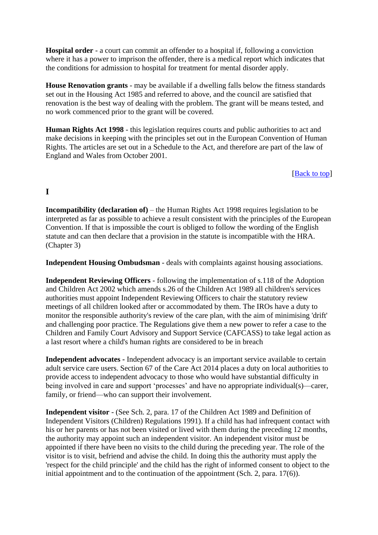**Hospital order** - a court can commit an offender to a hospital if, following a conviction where it has a power to imprison the offender, there is a medical report which indicates that the conditions for admission to hospital for treatment for mental disorder apply.

**House Renovation grants** - may be available if a dwelling falls below the fitness standards set out in the Housing Act 1985 and referred to above, and the council are satisfied that renovation is the best way of dealing with the problem. The grant will be means tested, and no work commenced prior to the grant will be covered.

**Human Rights Act 1998** - this legislation requires courts and public authorities to act and make decisions in keeping with the principles set out in the European Convention of Human Rights. The articles are set out in a Schedule to the Act, and therefore are part of the law of England and Wales from October 2001.

### [**Back** to top]

# **I**

**Incompatibility (declaration of)** – the Human Rights Act 1998 requires legislation to be interpreted as far as possible to achieve a result consistent with the principles of the European Convention. If that is impossible the court is obliged to follow the wording of the English statute and can then declare that a provision in the statute is incompatible with the HRA. (Chapter 3)

**Independent Housing Ombudsman** - deals with complaints against housing associations.

**Independent Reviewing Officers** - following the implementation of s.118 of the Adoption and Children Act 2002 which amends s.26 of the Children Act 1989 all children's services authorities must appoint Independent Reviewing Officers to chair the statutory review meetings of all children looked after or accommodated by them. The IROs have a duty to monitor the responsible authority's review of the care plan, with the aim of minimising 'drift' and challenging poor practice. The Regulations give them a new power to refer a case to the Children and Family Court Advisory and Support Service (CAFCASS) to take legal action as a last resort where a child's human rights are considered to be in breach

**Independent advocates -** Independent advocacy is an important service available to certain adult service care users. Section 67 of the Care Act 2014 places a duty on local authorities to provide access to independent advocacy to those who would have substantial difficulty in being involved in care and support 'processes' and have no appropriate individual(s)—carer, family, or friend—who can support their involvement.

**Independent visitor** - (See Sch. 2, para. 17 of the Children Act 1989 and Definition of Independent Visitors (Children) Regulations 1991). If a child has had infrequent contact with his or her parents or has not been visited or lived with them during the preceding 12 months, the authority may appoint such an independent visitor. An independent visitor must be appointed if there have been no visits to the child during the preceding year. The role of the visitor is to visit, befriend and advise the child. In doing this the authority must apply the 'respect for the child principle' and the child has the right of informed consent to object to the initial appointment and to the continuation of the appointment (Sch. 2, para. 17(6)).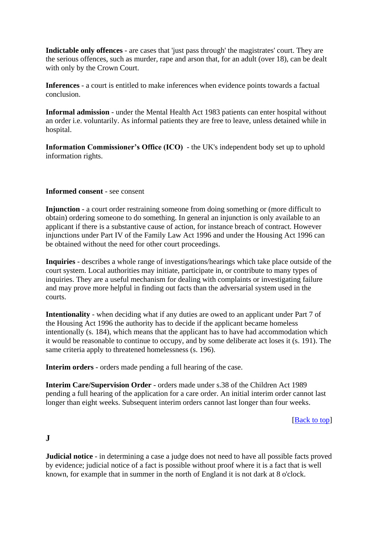**Indictable only offences** - are cases that 'just pass through' the magistrates' court. They are the serious offences, such as murder, rape and arson that, for an adult (over 18), can be dealt with only by the Crown Court.

**Inferences** - a court is entitled to make inferences when evidence points towards a factual conclusion.

**Informal admission** - under the Mental Health Act 1983 patients can enter hospital without an order i.e. voluntarily. As informal patients they are free to leave, unless detained while in hospital.

**Information Commissioner's Office (ICO)** - the UK's independent body set up to uphold information rights.

#### **Informed consent** - see consent

**Injunction** - a court order restraining someone from doing something or (more difficult to obtain) ordering someone to do something. In general an injunction is only available to an applicant if there is a substantive cause of action, for instance breach of contract. However injunctions under Part IV of the Family Law Act 1996 and under the Housing Act 1996 can be obtained without the need for other court proceedings.

**Inquiries** - describes a whole range of investigations/hearings which take place outside of the court system. Local authorities may initiate, participate in, or contribute to many types of inquiries. They are a useful mechanism for dealing with complaints or investigating failure and may prove more helpful in finding out facts than the adversarial system used in the courts.

**Intentionality** - when deciding what if any duties are owed to an applicant under Part 7 of the Housing Act 1996 the authority has to decide if the applicant became homeless intentionally (s. 184), which means that the applicant has to have had accommodation which it would be reasonable to continue to occupy, and by some deliberate act loses it (s. 191). The same criteria apply to threatened homelessness (s. 196).

**Interim orders** - orders made pending a full hearing of the case.

**Interim Care/Supervision Order** - orders made under s.38 of the Children Act 1989 pending a full hearing of the application for a care order. An initial interim order cannot last longer than eight weeks. Subsequent interim orders cannot last longer than four weeks.

[Back to top]

### **J**

**Judicial notice** - in determining a case a judge does not need to have all possible facts proved by evidence; judicial notice of a fact is possible without proof where it is a fact that is well known, for example that in summer in the north of England it is not dark at 8 o'clock.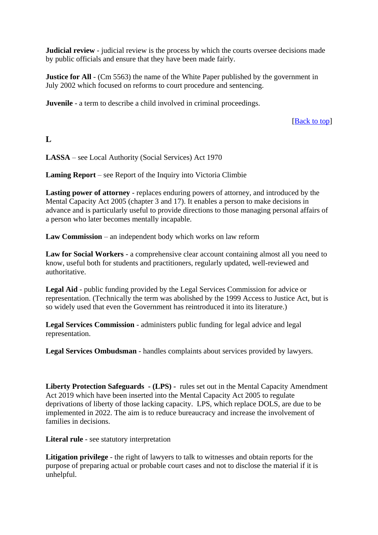**Judicial review** - judicial review is the process by which the courts oversee decisions made by public officials and ensure that they have been made fairly.

**Justice for All** - (Cm 5563) the name of the White Paper published by the government in July 2002 which focused on reforms to court procedure and sentencing.

**Juvenile** - a term to describe a child involved in criminal proceedings.

[**Back** to top]

**L**

**LASSA** – see Local Authority (Social Services) Act 1970

**Laming Report** – see Report of the Inquiry into Victoria Climbie

**Lasting power of attorney** - replaces enduring powers of attorney, and introduced by the Mental Capacity Act 2005 (chapter 3 and 17). It enables a person to make decisions in advance and is particularly useful to provide directions to those managing personal affairs of a person who later becomes mentally incapable.

**Law Commission** – an independent body which works on law reform

**Law for Social Workers** - a comprehensive clear account containing almost all you need to know, useful both for students and practitioners, regularly updated, well-reviewed and authoritative.

**Legal Aid** - public funding provided by the Legal Services Commission for advice or representation. (Technically the term was abolished by the 1999 Access to Justice Act, but is so widely used that even the Government has reintroduced it into its literature.)

**Legal Services Commission** - administers public funding for legal advice and legal representation.

**Legal Services Ombudsman** - handles complaints about services provided by lawyers.

**Liberty Protection Safeguards - (LPS) -** rules set out in the Mental Capacity Amendment Act 2019 which have been inserted into the Mental Capacity Act 2005 to regulate deprivations of liberty of those lacking capacity. LPS, which replace DOLS, are due to be implemented in 2022. The aim is to reduce bureaucracy and increase the involvement of families in decisions.

**Literal rule** - see statutory interpretation

**Litigation privilege** - the right of lawyers to talk to witnesses and obtain reports for the purpose of preparing actual or probable court cases and not to disclose the material if it is unhelpful.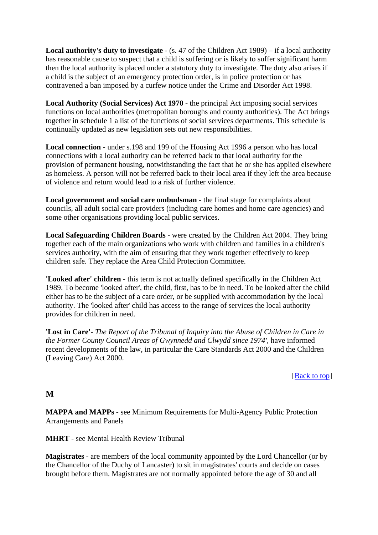**Local authority's duty to investigate** - (s. 47 of the Children Act 1989) – if a local authority has reasonable cause to suspect that a child is suffering or is likely to suffer significant harm then the local authority is placed under a statutory duty to investigate. The duty also arises if a child is the subject of an emergency protection order, is in police protection or has contravened a ban imposed by a curfew notice under the Crime and Disorder Act 1998.

**Local Authority (Social Services) Act 1970** - the principal Act imposing social services functions on local authorities (metropolitan boroughs and county authorities). The Act brings together in schedule 1 a list of the functions of social services departments. This schedule is continually updated as new legislation sets out new responsibilities.

**Local connection** - under s.198 and 199 of the Housing Act 1996 a person who has local connections with a local authority can be referred back to that local authority for the provision of permanent housing, notwithstanding the fact that he or she has applied elsewhere as homeless. A person will not be referred back to their local area if they left the area because of violence and return would lead to a risk of further violence.

**Local government and social care ombudsman** - the final stage for complaints about councils, all adult social care providers (including care homes and home care agencies) and some other organisations providing local public services.

**Local Safeguarding Children Boards** - were created by the Children Act 2004. They bring together each of the main organizations who work with children and families in a children's services authority, with the aim of ensuring that they work together effectively to keep children safe. They replace the Area Child Protection Committee.

**'Looked after' children** - this term is not actually defined specifically in the Children Act 1989. To become 'looked after', the child, first, has to be in need. To be looked after the child either has to be the subject of a care order, or be supplied with accommodation by the local authority. The 'looked after' child has access to the range of services the local authority provides for children in need.

**'Lost in Care'***- The Report of the Tribunal of Inquiry into the Abuse of Children in Care in the Former County Council Areas of Gwynnedd and Clwydd since 1974',* have informed recent developments of the law, in particular the Care Standards Act 2000 and the Children (Leaving Care) Act 2000.

[Back to top]

## **M**

**MAPPA and MAPPs** - see Minimum Requirements for Multi-Agency Public Protection Arrangements and Panels

**MHRT** - see Mental Health Review Tribunal

**Magistrates** - are members of the local community appointed by the Lord Chancellor (or by the Chancellor of the Duchy of Lancaster) to sit in magistrates' courts and decide on cases brought before them. Magistrates are not normally appointed before the age of 30 and all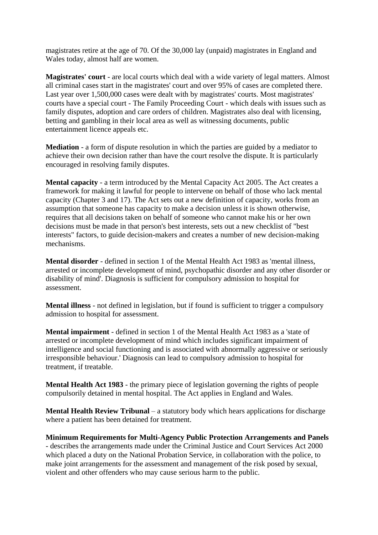magistrates retire at the age of 70. Of the 30,000 lay (unpaid) magistrates in England and Wales today, almost half are women.

**Magistrates' court** - are local courts which deal with a wide variety of legal matters. Almost all criminal cases start in the magistrates' court and over 95% of cases are completed there. Last year over 1,500,000 cases were dealt with by magistrates' courts. Most magistrates' courts have a special court - The Family Proceeding Court - which deals with issues such as family disputes, adoption and care orders of children. Magistrates also deal with licensing, betting and gambling in their local area as well as witnessing documents, public entertainment licence appeals etc.

**Mediation** - a form of dispute resolution in which the parties are guided by a mediator to achieve their own decision rather than have the court resolve the dispute. It is particularly encouraged in resolving family disputes.

**Mental capacity** - a term introduced by the Mental Capacity Act 2005. The Act creates a framework for making it lawful for people to intervene on behalf of those who lack mental capacity (Chapter 3 and 17). The Act sets out a new definition of capacity, works from an assumption that someone has capacity to make a decision unless it is shown otherwise, requires that all decisions taken on behalf of someone who cannot make his or her own decisions must be made in that person's best interests, sets out a new checklist of "best interests" factors, to guide decision-makers and creates a number of new decision-making mechanisms.

**Mental disorder** - defined in section 1 of the Mental Health Act 1983 as 'mental illness, arrested or incomplete development of mind, psychopathic disorder and any other disorder or disability of mind'. Diagnosis is sufficient for compulsory admission to hospital for assessment.

**Mental illness** - not defined in legislation, but if found is sufficient to trigger a compulsory admission to hospital for assessment.

**Mental impairment** - defined in section 1 of the Mental Health Act 1983 as a 'state of arrested or incomplete development of mind which includes significant impairment of intelligence and social functioning and is associated with abnormally aggressive or seriously irresponsible behaviour.' Diagnosis can lead to compulsory admission to hospital for treatment, if treatable.

**Mental Health Act 1983** - the primary piece of legislation governing the rights of people compulsorily detained in mental hospital. The Act applies in England and Wales.

**Mental Health Review Tribunal** – a statutory body which hears applications for discharge where a patient has been detained for treatment.

**Minimum Requirements for Multi-Agency Public Protection Arrangements and Panels** - describes the arrangements made under the Criminal Justice and Court Services Act 2000 which placed a duty on the National Probation Service, in collaboration with the police, to make joint arrangements for the assessment and management of the risk posed by sexual, violent and other offenders who may cause serious harm to the public.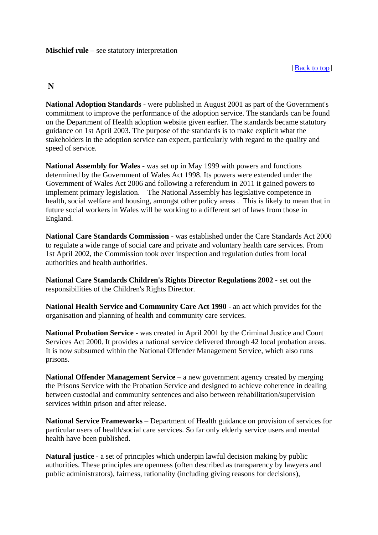## **N**

**National Adoption Standards** - were published in August 2001 as part of the Government's commitment to improve the performance of the adoption service. The standards can be found on the Department of Health adoption website given earlier. The standards became statutory guidance on 1st April 2003. The purpose of the standards is to make explicit what the stakeholders in the adoption service can expect, particularly with regard to the quality and speed of service.

**National Assembly for Wales** - was set up in May 1999 with powers and functions determined by the Government of Wales Act 1998. Its powers were extended under the Government of Wales Act 2006 and following a referendum in 2011 it gained powers to implement primary legislation. The National Assembly has legislative competence in health, social welfare and housing, amongst other policy areas . This is likely to mean that in future social workers in Wales will be working to a different set of laws from those in England.

**National Care Standards Commission** - was established under the Care Standards Act 2000 to regulate a wide range of social care and private and voluntary health care services. From 1st April 2002, the Commission took over inspection and regulation duties from local authorities and health authorities.

**National Care Standards Children's Rights Director Regulations 2002** - set out the responsibilities of the Children's Rights Director.

**National Health Service and Community Care Act 1990** - an act which provides for the organisation and planning of health and community care services.

**National Probation Service** - was created in April 2001 by the Criminal Justice and Court Services Act 2000. It provides a national service delivered through 42 local probation areas. It is now subsumed within the National Offender Management Service, which also runs prisons.

**National Offender Management Service** – a new government agency created by merging the Prisons Service with the Probation Service and designed to achieve coherence in dealing between custodial and community sentences and also between rehabilitation/supervision services within prison and after release.

**National Service Frameworks** – Department of Health guidance on provision of services for particular users of health/social care services. So far only elderly service users and mental health have been published.

**Natural justice** - a set of principles which underpin lawful decision making by public authorities. These principles are openness (often described as transparency by lawyers and public administrators), fairness, rationality (including giving reasons for decisions),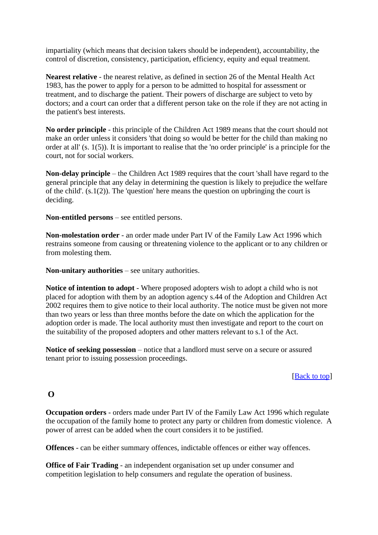impartiality (which means that decision takers should be independent), accountability, the control of discretion, consistency, participation, efficiency, equity and equal treatment.

**Nearest relative** - the nearest relative, as defined in section 26 of the Mental Health Act 1983, has the power to apply for a person to be admitted to hospital for assessment or treatment, and to discharge the patient. Their powers of discharge are subject to veto by doctors; and a court can order that a different person take on the role if they are not acting in the patient's best interests.

**No order principle** - this principle of the Children Act 1989 means that the court should not make an order unless it considers 'that doing so would be better for the child than making no order at all' (s. 1(5)). It is important to realise that the 'no order principle' is a principle for the court, not for social workers.

**Non-delay principle** – the Children Act 1989 requires that the court 'shall have regard to the general principle that any delay in determining the question is likely to prejudice the welfare of the child'.  $(s.1(2))$ . The 'question' here means the question on upbringing the court is deciding.

**Non-entitled persons** – see entitled persons.

**Non-molestation order** - an order made under Part IV of the Family Law Act 1996 which restrains someone from causing or threatening violence to the applicant or to any children or from molesting them.

**Non-unitary authorities** – see unitary authorities.

**Notice of intention to adopt** - Where proposed adopters wish to adopt a child who is not placed for adoption with them by an adoption agency s.44 of the Adoption and Children Act 2002 requires them to give notice to their local authority. The notice must be given not more than two years or less than three months before the date on which the application for the adoption order is made. The local authority must then investigate and report to the court on the suitability of the proposed adopters and other matters relevant to s.1 of the Act.

**Notice of seeking possession** – notice that a landlord must serve on a secure or assured tenant prior to issuing possession proceedings.

### [Back to top]

## **O**

**Occupation orders** - orders made under Part IV of the Family Law Act 1996 which regulate the occupation of the family home to protect any party or children from domestic violence. A power of arrest can be added when the court considers it to be justified.

**Offences** - can be either summary offences, indictable offences or either way offences.

**Office of Fair Trading** - an independent organisation set up under consumer and competition legislation to help consumers and regulate the operation of business.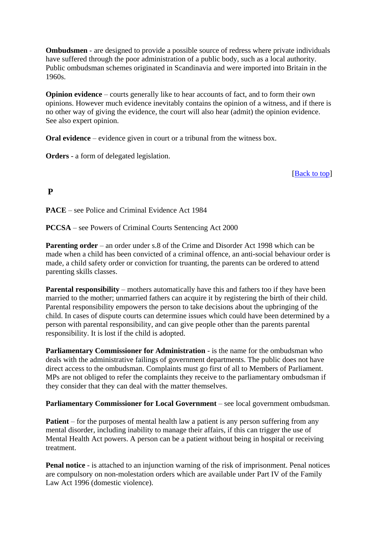**Ombudsmen** - are designed to provide a possible source of redress where private individuals have suffered through the poor administration of a public body, such as a local authority. Public ombudsman schemes originated in Scandinavia and were imported into Britain in the 1960s.

**Opinion evidence** – courts generally like to hear accounts of fact, and to form their own opinions. However much evidence inevitably contains the opinion of a witness, and if there is no other way of giving the evidence, the court will also hear (admit) the opinion evidence. See also expert opinion.

**Oral evidence** – evidence given in court or a tribunal from the witness box.

**Orders** - a form of delegated legislation.

[Back to top]

## **P**

**PACE** – see Police and Criminal Evidence Act 1984

**PCCSA** – see Powers of Criminal Courts Sentencing Act 2000

**Parenting order** – an order under s.8 of the Crime and Disorder Act 1998 which can be made when a child has been convicted of a criminal offence, an anti-social behaviour order is made, a child safety order or conviction for truanting, the parents can be ordered to attend parenting skills classes.

**Parental responsibility** – mothers automatically have this and fathers too if they have been married to the mother; unmarried fathers can acquire it by registering the birth of their child. Parental responsibility empowers the person to take decisions about the upbringing of the child. In cases of dispute courts can determine issues which could have been determined by a person with parental responsibility, and can give people other than the parents parental responsibility. It is lost if the child is adopted.

**Parliamentary Commissioner for Administration** - is the name for the ombudsman who deals with the administrative failings of government departments. The public does not have direct access to the ombudsman. Complaints must go first of all to Members of Parliament. MPs are not obliged to refer the complaints they receive to the parliamentary ombudsman if they consider that they can deal with the matter themselves.

**Parliamentary Commissioner for Local Government** – see local government ombudsman.

**Patient** – for the purposes of mental health law a patient is any person suffering from any mental disorder, including inability to manage their affairs, if this can trigger the use of Mental Health Act powers. A person can be a patient without being in hospital or receiving treatment.

**Penal notice** - is attached to an injunction warning of the risk of imprisonment. Penal notices are compulsory on non-molestation orders which are available under Part IV of the Family Law Act 1996 (domestic violence).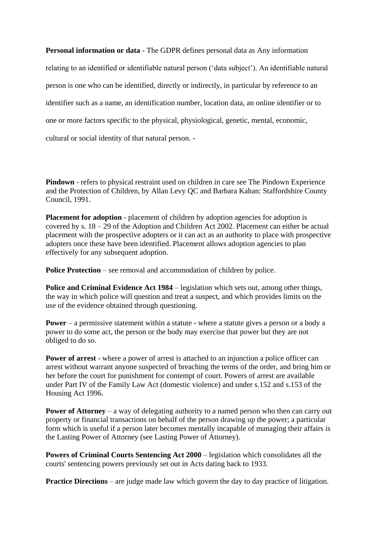**Personal information or data** - The GDPR defines personal data as Any information

relating to an identified or identifiable natural person ('data subject'). An identifiable natural person is one who can be identified, directly or indirectly, in particular by reference to an identifier such as a name, an identification number, location data, an online identifier or to one or more factors specific to the physical, physiological, genetic, mental, economic, cultural or social identity of that natural person. -

**Pindown** - refers to physical restraint used on children in care see The Pindown Experience and the Protection of Children, by Allan Levy QC and Barbara Kahan: Staffordshire County Council, 1991.

**Placement for adoption** - placement of children by adoption agencies for adoption is covered by s. 18 – 29 of the Adoption and Children Act 2002. Placement can either be actual placement with the prospective adopters or it can act as an authority to place with prospective adopters once these have been identified. Placement allows adoption agencies to plan effectively for any subsequent adoption.

**Police Protection** – see removal and accommodation of children by police.

**Police and Criminal Evidence Act 1984** – legislation which sets out, among other things, the way in which police will question and treat a suspect, and which provides limits on the use of the evidence obtained through questioning.

**Power** – a permissive statement within a statute - where a statute gives a person or a body a power to do some act, the person or the body may exercise that power but they are not obliged to do so.

**Power of arrest** - where a power of arrest is attached to an injunction a police officer can arrest without warrant anyone suspected of breaching the terms of the order, and bring him or her before the court for punishment for contempt of court. Powers of arrest are available under Part IV of the Family Law Act (domestic violence) and under s.152 and s.153 of the Housing Act 1996.

**Power of Attorney** – a way of delegating authority to a named person who then can carry out property or financial transactions on behalf of the person drawing up the power; a particular form which is useful if a person later becomes mentally incapable of managing their affairs is the Lasting Power of Attorney (see Lasting Power of Attorney).

**Powers of Criminal Courts Sentencing Act 2000** – legislation which consolidates all the courts' sentencing powers previously set out in Acts dating back to 1933.

**Practice Directions** – are judge made law which govern the day to day practice of litigation.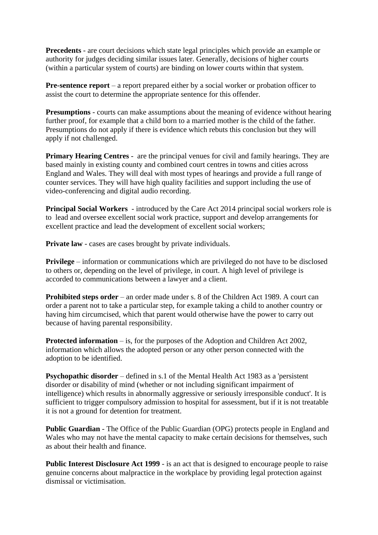**Precedents** - are court decisions which state legal principles which provide an example or authority for judges deciding similar issues later. Generally, decisions of higher courts (within a particular system of courts) are binding on lower courts within that system.

**Pre-sentence report** – a report prepared either by a social worker or probation officer to assist the court to determine the appropriate sentence for this offender.

**Presumptions** - courts can make assumptions about the meaning of evidence without hearing further proof, for example that a child born to a married mother is the child of the father. Presumptions do not apply if there is evidence which rebuts this conclusion but they will apply if not challenged.

**Primary Hearing Centres** - are the principal venues for civil and family hearings. They are based mainly in existing county and combined court centres in towns and cities across England and Wales. They will deal with most types of hearings and provide a full range of counter services. They will have high quality facilities and support including the use of video-conferencing and digital audio recording.

**Principal Social Workers** - introduced by the Care Act 2014 principal social workers role is to lead and oversee excellent social work practice, support and develop arrangements for excellent practice and lead the development of excellent social workers;

**Private law** - cases are cases brought by private individuals.

**Privilege** – information or communications which are privileged do not have to be disclosed to others or, depending on the level of privilege, in court. A high level of privilege is accorded to communications between a lawyer and a client.

**Prohibited steps order** – an order made under s. 8 of the Children Act 1989. A court can order a parent not to take a particular step, for example taking a child to another country or having him circumcised, which that parent would otherwise have the power to carry out because of having parental responsibility.

**Protected information** – is, for the purposes of the Adoption and Children Act 2002, information which allows the adopted person or any other person connected with the adoption to be identified.

**Psychopathic disorder** – defined in s.1 of the Mental Health Act 1983 as a 'persistent disorder or disability of mind (whether or not including significant impairment of intelligence) which results in abnormally aggressive or seriously irresponsible conduct'. It is sufficient to trigger compulsory admission to hospital for assessment, but if it is not treatable it is not a ground for detention for treatment.

**Public Guardian** - The Office of the Public Guardian (OPG) protects people in England and Wales who may not have the mental capacity to make certain decisions for themselves, such as about their health and finance.

**Public Interest Disclosure Act 1999** - is an act that is designed to encourage people to raise genuine concerns about malpractice in the workplace by providing legal protection against dismissal or victimisation.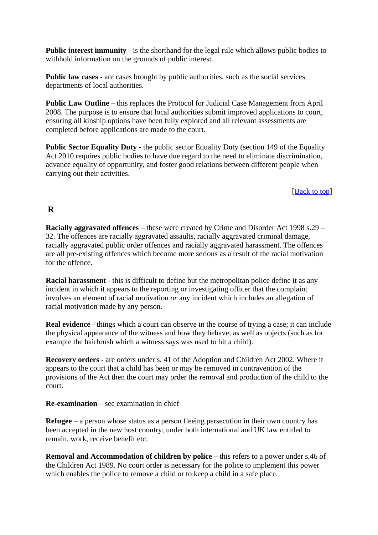**Public interest immunity** - is the shorthand for the legal rule which allows public bodies to withhold information on the grounds of public interest.

**Public law cases** - are cases brought by public authorities, such as the social services departments of local authorities.

**Public Law Outline** – this replaces the Protocol for Judicial Case Management from April 2008. The purpose is to ensure that local authorities submit improved applications to court, ensuring all kinship options have been fully explored and all relevant assessments are completed before applications are made to the court.

**Public Sector Equality Duty** - the public sector Equality Duty (section 149 of the Equality Act 2010 [requires public bodies to have due regard to the need to eliminate discrimination,](http://www.legislation.gov.uk/ukpga/2010/15/section/149)  [advance equality of opportunity, and foster good relations between different people when](http://www.legislation.gov.uk/ukpga/2010/15/section/149)  [carrying out their activities.](http://www.legislation.gov.uk/ukpga/2010/15/section/149)

### [**Back** to top]

### **R**

**Racially aggravated offences** – these were created by Crime and Disorder Act 1998 s.29 – 32. The offences are racially aggravated assaults, racially aggravated criminal damage, racially aggravated public order offences and racially aggravated harassment. The offences are all pre-existing offences which become more serious as a result of the racial motivation for the offence.

**Racial harassment** - this is difficult to define but the metropolitan police define it as any incident in which it appears to the reporting or investigating officer that the complaint involves an element of racial motivation *or* any incident which includes an allegation of racial motivation made by any person.

**Real evidence** - things which a court can observe in the course of trying a case; it can include the physical appearance of the witness and how they behave, as well as objects (such as for example the hairbrush which a witness says was used to hit a child).

**Recovery orders** - are orders under s. 41 of the Adoption and Children Act 2002. Where it appears to the court that a child has been or may be removed in contravention of the provisions of the Act then the court may order the removal and production of the child to the court.

**Re-examination** – see examination in chief

**Refugee** – a person whose status as a person fleeing persecution in their own country has been accepted in the new host country; under both international and UK law entitled to remain, work, receive benefit etc.

**Removal and Accommodation of children by police** – this refers to a power under s.46 of the Children Act 1989. No court order is necessary for the police to implement this power which enables the police to remove a child or to keep a child in a safe place.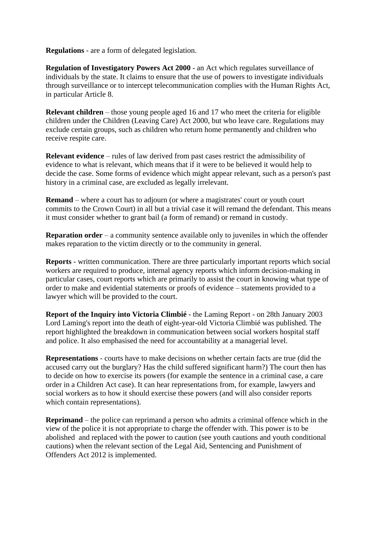**Regulations** - are a form of delegated legislation.

**Regulation of Investigatory Powers Act 2000** - an Act which regulates surveillance of individuals by the state. It claims to ensure that the use of powers to investigate individuals through surveillance or to intercept telecommunication complies with the Human Rights Act, in particular Article 8.

**Relevant children** – those young people aged 16 and 17 who meet the criteria for eligible children under the Children (Leaving Care) Act 2000, but who leave care. Regulations may exclude certain groups, such as children who return home permanently and children who receive respite care.

**Relevant evidence** – rules of law derived from past cases restrict the admissibility of evidence to what is relevant, which means that if it were to be believed it would help to decide the case. Some forms of evidence which might appear relevant, such as a person's past history in a criminal case, are excluded as legally irrelevant.

**Remand** – where a court has to adjourn (or where a magistrates' court or youth court commits to the Crown Court) in all but a trivial case it will remand the defendant. This means it must consider whether to grant bail (a form of remand) or remand in custody.

**Reparation order** – a community sentence available only to juveniles in which the offender makes reparation to the victim directly or to the community in general.

**Reports** - written communication. There are three particularly important reports which social workers are required to produce, internal agency reports which inform decision-making in particular cases, court reports which are primarily to assist the court in knowing what type of order to make and evidential statements or proofs of evidence – statements provided to a lawyer which will be provided to the court.

**Report of the Inquiry into Victoria Climbié** - the Laming Report - on 28th January 2003 Lord Laming's report into the death of eight-year-old Victoria Climbié was published. The report highlighted the breakdown in communication between social workers hospital staff and police. It also emphasised the need for accountability at a managerial level.

**Representations** - courts have to make decisions on whether certain facts are true (did the accused carry out the burglary? Has the child suffered significant harm?) The court then has to decide on how to exercise its powers (for example the sentence in a criminal case, a care order in a Children Act case). It can hear representations from, for example, lawyers and social workers as to how it should exercise these powers (and will also consider reports which contain representations).

**Reprimand** – the police can reprimand a person who admits a criminal offence which in the view of the police it is not appropriate to charge the offender with. This power is to be abolished and replaced with the power to caution (see youth cautions and youth conditional cautions) when the relevant section of the Legal Aid, Sentencing and Punishment of Offenders Act 2012 is implemented.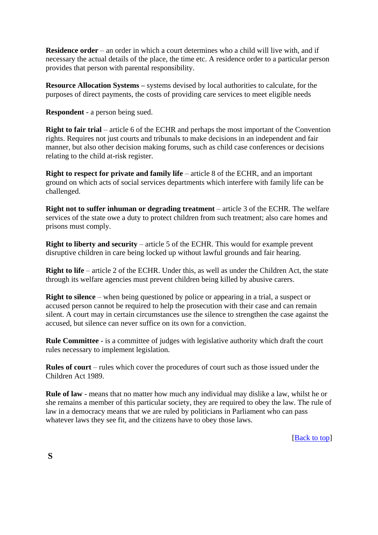**Residence order** – an order in which a court determines who a child will live with, and if necessary the actual details of the place, the time etc. A residence order to a particular person provides that person with parental responsibility.

**Resource Allocation Systems** – systems devised by local authorities to calculate, for the purposes of direct payments, the costs of providing care services to meet eligible needs

**Respondent** - a person being sued.

**Right to fair trial** – article 6 of the ECHR and perhaps the most important of the Convention rights. Requires not just courts and tribunals to make decisions in an independent and fair manner, but also other decision making forums, such as child case conferences or decisions relating to the child at-risk register.

**Right to respect for private and family life** – article 8 of the ECHR, and an important ground on which acts of social services departments which interfere with family life can be challenged.

**Right not to suffer inhuman or degrading treatment** – article 3 of the ECHR. The welfare services of the state owe a duty to protect children from such treatment; also care homes and prisons must comply.

**Right to liberty and security** – article 5 of the ECHR. This would for example prevent disruptive children in care being locked up without lawful grounds and fair hearing.

**Right to life** – article 2 of the ECHR. Under this, as well as under the Children Act, the state through its welfare agencies must prevent children being killed by abusive carers.

**Right to silence** – when being questioned by police or appearing in a trial, a suspect or accused person cannot be required to help the prosecution with their case and can remain silent. A court may in certain circumstances use the silence to strengthen the case against the accused, but silence can never suffice on its own for a conviction.

**Rule Committee** - is a committee of judges with legislative authority which draft the court rules necessary to implement legislation.

**Rules of court** – rules which cover the procedures of court such as those issued under the Children Act 1989.

**Rule of law** - means that no matter how much any individual may dislike a law, whilst he or she remains a member of this particular society, they are required to obey the law. The rule of law in a democracy means that we are ruled by politicians in Parliament who can pass whatever laws they see fit, and the citizens have to obey those laws.

[Back to top]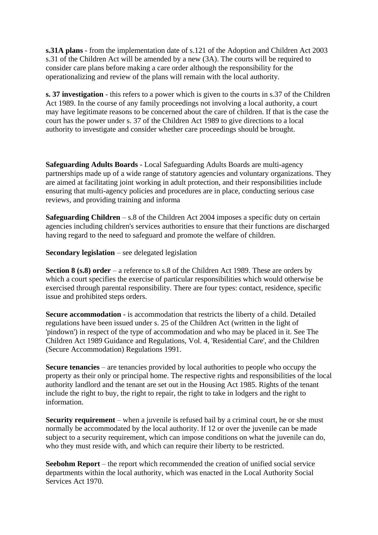**s.31A plans** - from the implementation date of s.121 of the Adoption and Children Act 2003 s.31 of the Children Act will be amended by a new (3A). The courts will be required to consider care plans before making a care order although the responsibility for the operationalizing and review of the plans will remain with the local authority.

**s. 37 investigation** - this refers to a power which is given to the courts in s.37 of the Children Act 1989. In the course of any family proceedings not involving a local authority, a court may have legitimate reasons to be concerned about the care of children. If that is the case the court has the power under s. 37 of the Children Act 1989 to give directions to a local authority to investigate and consider whether care proceedings should be brought.

**Safeguarding Adults Boards** - Local Safeguarding Adults Boards are multi-agency partnerships made up of a wide range of statutory agencies and voluntary organizations. They are aimed at facilitating joint working in adult protection, and their responsibilities include ensuring that multi-agency policies and procedures are in place, conducting serious case reviews, and providing training and informa

**Safeguarding Children** – s.8 of the Children Act 2004 imposes a specific duty on certain agencies including children's services authorities to ensure that their functions are discharged having regard to the need to safeguard and promote the welfare of children.

**Secondary legislation** – see delegated legislation

**Section 8 (s.8) order** – a reference to s.8 of the Children Act 1989. These are orders by which a court specifies the exercise of particular responsibilities which would otherwise be exercised through parental responsibility. There are four types: contact, residence, specific issue and prohibited steps orders.

**Secure accommodation** - is accommodation that restricts the liberty of a child. Detailed regulations have been issued under s. 25 of the Children Act (written in the light of 'pindown') in respect of the type of accommodation and who may be placed in it. See The Children Act 1989 Guidance and Regulations, Vol. 4, 'Residential Care', and the Children (Secure Accommodation) Regulations 1991.

**Secure tenancies** – are tenancies provided by local authorities to people who occupy the property as their only or principal home. The respective rights and responsibilities of the local authority landlord and the tenant are set out in the Housing Act 1985. Rights of the tenant include the right to buy, the right to repair, the right to take in lodgers and the right to information.

**Security requirement** – when a juvenile is refused bail by a criminal court, he or she must normally be accommodated by the local authority. If 12 or over the juvenile can be made subject to a security requirement, which can impose conditions on what the juvenile can do, who they must reside with, and which can require their liberty to be restricted.

**Seebohm Report** – the report which recommended the creation of unified social service departments within the local authority, which was enacted in the Local Authority Social Services Act 1970.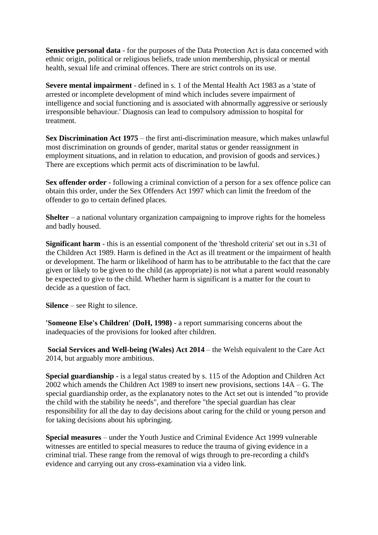**Sensitive personal data** - for the purposes of the Data Protection Act is data concerned with ethnic origin, political or religious beliefs, trade union membership, physical or mental health, sexual life and criminal offences. There are strict controls on its use.

**Severe mental impairment** - defined in s. 1 of the Mental Health Act 1983 as a 'state of arrested or incomplete development of mind which includes severe impairment of intelligence and social functioning and is associated with abnormally aggressive or seriously irresponsible behaviour.' Diagnosis can lead to compulsory admission to hospital for treatment.

**Sex Discrimination Act 1975** – the first anti-discrimination measure, which makes unlawful most discrimination on grounds of gender, marital status or gender reassignment in employment situations, and in relation to education, and provision of goods and services.) There are exceptions which permit acts of discrimination to be lawful.

**Sex offender order** - following a criminal conviction of a person for a sex offence police can obtain this order, under the Sex Offenders Act 1997 which can limit the freedom of the offender to go to certain defined places.

**Shelter** – a national voluntary organization campaigning to improve rights for the homeless and badly housed.

**Significant harm** - this is an essential component of the 'threshold criteria' set out in s.31 of the Children Act 1989. Harm is defined in the Act as ill treatment or the impairment of health or development. The harm or likelihood of harm has to be attributable to the fact that the care given or likely to be given to the child (as appropriate) is not what a parent would reasonably be expected to give to the child. Whether harm is significant is a matter for the court to decide as a question of fact.

**Silence** – see Right to silence.

**'Someone Else's Children' (DoH, 1998)** - a report summarising concerns about the inadequacies of the provisions for looked after children.

**Social Services and Well-being (Wales) Act 2014** – the Welsh equivalent to the Care Act 2014, but arguably more ambitious.

**Special guardianship** - is a legal status created by s. 115 of the Adoption and Children Act 2002 which amends the Children Act 1989 to insert new provisions, sections 14A – G. The special guardianship order, as the explanatory notes to the Act set out is intended "to provide the child with the stability he needs", and therefore "the special guardian has clear responsibility for all the day to day decisions about caring for the child or young person and for taking decisions about his upbringing.

**Special measures** – under the Youth Justice and Criminal Evidence Act 1999 vulnerable witnesses are entitled to special measures to reduce the trauma of giving evidence in a criminal trial. These range from the removal of wigs through to pre-recording a child's evidence and carrying out any cross-examination via a video link.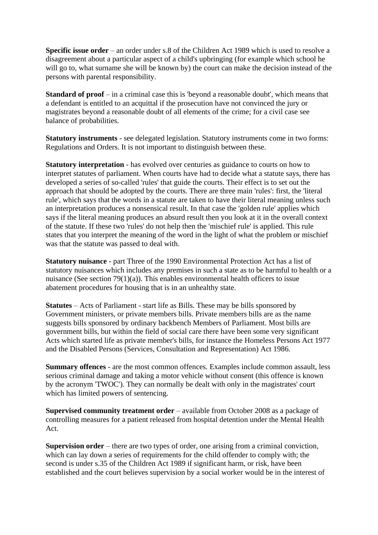**Specific issue order** – an order under s.8 of the Children Act 1989 which is used to resolve a disagreement about a particular aspect of a child's upbringing (for example which school he will go to, what surname she will be known by) the court can make the decision instead of the persons with parental responsibility.

**Standard of proof** – in a criminal case this is 'beyond a reasonable doubt', which means that a defendant is entitled to an acquittal if the prosecution have not convinced the jury or magistrates beyond a reasonable doubt of all elements of the crime; for a civil case see balance of probabilities.

**Statutory instruments** - see delegated legislation. Statutory instruments come in two forms: Regulations and Orders. It is not important to distinguish between these.

**Statutory interpretation** - has evolved over centuries as guidance to courts on how to interpret statutes of parliament. When courts have had to decide what a statute says, there has developed a series of so-called 'rules' that guide the courts. Their effect is to set out the approach that should be adopted by the courts. There are three main 'rules': first, the 'literal rule', which says that the words in a statute are taken to have their literal meaning unless such an interpretation produces a nonsensical result. In that case the 'golden rule' applies which says if the literal meaning produces an absurd result then you look at it in the overall context of the statute. If these two 'rules' do not help then the 'mischief rule' is applied. This rule states that you interpret the meaning of the word in the light of what the problem or mischief was that the statute was passed to deal with.

**Statutory nuisance** - part Three of the 1990 Environmental Protection Act has a list of statutory nuisances which includes any premises in such a state as to be harmful to health or a nuisance (See section 79(1)(a)). This enables environmental health officers to issue abatement procedures for housing that is in an unhealthy state.

**Statutes** – Acts of Parliament - start life as Bills. These may be bills sponsored by Government ministers, or private members bills. Private members bills are as the name suggests bills sponsored by ordinary backbench Members of Parliament. Most bills are government bills, but within the field of social care there have been some very significant Acts which started life as private member's bills, for instance the Homeless Persons Act 1977 and the Disabled Persons (Services, Consultation and Representation) Act 1986.

**Summary offences** - are the most common offences. Examples include common assault, less serious criminal damage and taking a motor vehicle without consent (this offence is known by the acronym 'TWOC'). They can normally be dealt with only in the magistrates' court which has limited powers of sentencing.

**Supervised community treatment order** – available from October 2008 as a package of controlling measures for a patient released from hospital detention under the Mental Health Act.

**Supervision order** – there are two types of order, one arising from a criminal conviction, which can lay down a series of requirements for the child offender to comply with; the second is under s.35 of the Children Act 1989 if significant harm, or risk, have been established and the court believes supervision by a social worker would be in the interest of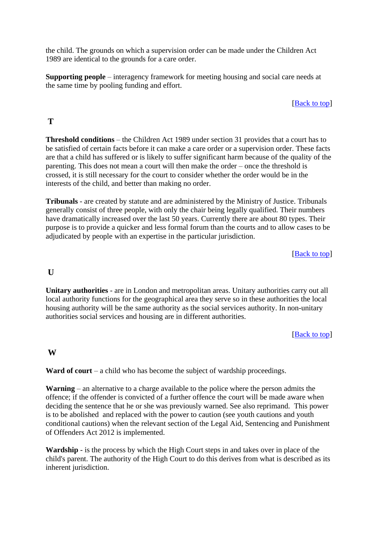the child. The grounds on which a supervision order can be made under the Children Act 1989 are identical to the grounds for a care order.

**Supporting people** – interagency framework for meeting housing and social care needs at the same time by pooling funding and effort.

#### [Back to top]

## **T**

**Threshold conditions** – the Children Act 1989 under section 31 provides that a court has to be satisfied of certain facts before it can make a care order or a supervision order. These facts are that a child has suffered or is likely to suffer significant harm because of the quality of the parenting. This does not mean a court will then make the order – once the threshold is crossed, it is still necessary for the court to consider whether the order would be in the interests of the child, and better than making no order.

**Tribunals** - are created by statute and are administered by the Ministry of Justice. Tribunals generally consist of three people, with only the chair being legally qualified. Their numbers have dramatically increased over the last 50 years. Currently there are about 80 types. Their purpose is to provide a quicker and less formal forum than the courts and to allow cases to be adjudicated by people with an expertise in the particular jurisdiction.

[Back to top]

### **U**

**Unitary authorities** - are in London and metropolitan areas. Unitary authorities carry out all local authority functions for the geographical area they serve so in these authorities the local housing authority will be the same authority as the social services authority. In non-unitary authorities social services and housing are in different authorities.

#### [**Back** to top]

# **W**

**Ward of court** – a child who has become the subject of wardship proceedings.

**Warning** – an alternative to a charge available to the police where the person admits the offence; if the offender is convicted of a further offence the court will be made aware when deciding the sentence that he or she was previously warned. See also reprimand. This power is to be abolished and replaced with the power to caution (see youth cautions and youth conditional cautions) when the relevant section of the Legal Aid, Sentencing and Punishment of Offenders Act 2012 is implemented.

**Wardship** - is the process by which the High Court steps in and takes over in place of the child's parent. The authority of the High Court to do this derives from what is described as its inherent jurisdiction.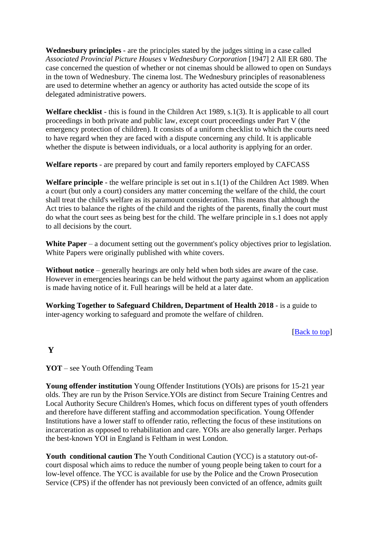**Wednesbury principles** - are the principles stated by the judges sitting in a case called *Associated Provincial Picture Houses* v *Wednesbury Corporation* [1947] 2 All ER 680. The case concerned the question of whether or not cinemas should be allowed to open on Sundays in the town of Wednesbury. The cinema lost. The Wednesbury principles of reasonableness are used to determine whether an agency or authority has acted outside the scope of its delegated administrative powers.

**Welfare checklist** - this is found in the Children Act 1989, s.1(3). It is applicable to all court proceedings in both private and public law, except court proceedings under Part V (the emergency protection of children). It consists of a uniform checklist to which the courts need to have regard when they are faced with a dispute concerning any child. It is applicable whether the dispute is between individuals, or a local authority is applying for an order.

**Welfare reports** - are prepared by court and family reporters employed by CAFCASS

**Welfare principle** - the welfare principle is set out in s.1(1) of the Children Act 1989. When a court (but only a court) considers any matter concerning the welfare of the child, the court shall treat the child's welfare as its paramount consideration. This means that although the Act tries to balance the rights of the child and the rights of the parents, finally the court must do what the court sees as being best for the child. The welfare principle in s.1 does not apply to all decisions by the court.

White **Paper** – a document setting out the government's policy objectives prior to legislation. White Papers were originally published with white covers.

**Without notice** – generally hearings are only held when both sides are aware of the case. However in emergencies hearings can be held without the party against whom an application is made having notice of it. Full hearings will be held at a later date.

**Working Together to Safeguard Children, Department of Health 2018** - is a guide to inter-agency working to safeguard and promote the welfare of children.

### [Back to top]

## **Y**

**YOT** – see Youth Offending Team

**Young offender institution** Young Offender Institutions (YOIs) are prisons for 15-21 year olds. They are run by the Prison Service.YOIs are distinct from Secure Training Centres and Local Authority Secure Children's Homes, which focus on different types of youth offenders and therefore have different staffing and accommodation specification. Young Offender Institutions have a lower staff to offender ratio, reflecting the focus of these institutions on incarceration as opposed to rehabilitation and care. YOIs are also generally larger. Perhaps the best-known YOI in England is Feltham in west London.

**Youth conditional caution T**he Youth Conditional Caution (YCC) is a statutory out-ofcourt disposal which aims to reduce the number of young people being taken to court for a low-level offence. The YCC is available for use by the Police and the Crown Prosecution Service (CPS) if the offender has not previously been convicted of an offence, admits guilt